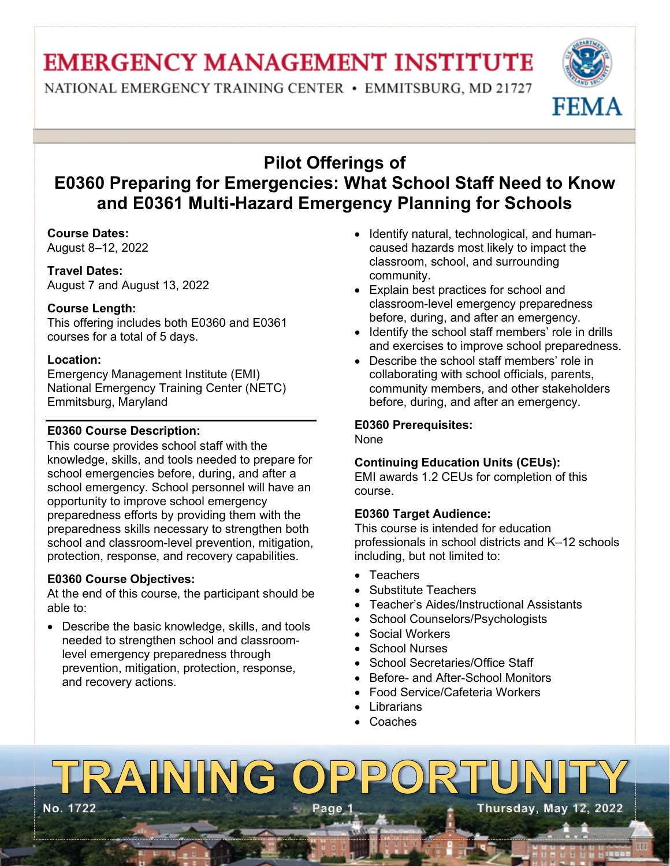## **EMERGENCY MANAGEMENT INSTITUTE**

NATIONAL EMERGENCY TRAINING CENTER • EMMITSBURG, MD 21727



## **Pilot Offerings of E0360 Preparing for Emergencies: What School Staff Need to Know and E0361 Multi-Hazard Emergency Planning for Schools**

#### **Course Dates:**

August 8–12, 2022

**Travel Dates:**  August 7 and August 13, 2022

#### **Course Length:**

This offering includes both E0360 and E0361 courses for a total of 5 days.

#### **Location:**

Emergency Management Institute (EMI) National Emergency Training Center (NETC) Emmitsburg, Maryland

#### **E0360 Course Description:**

This course provides school staff with the knowledge, skills, and tools needed to prepare for school emergencies before, during, and after a school emergency. School personnel will have an opportunity to improve school emergency preparedness efforts by providing them with the preparedness skills necessary to strengthen both school and classroom-level prevention, mitigation, protection, response, and recovery capabilities.

#### **E0360 Course Objectives:**

At the end of this course, the participant should be able to:

• Describe the basic knowledge, skills, and tools needed to strengthen school and classroomlevel emergency preparedness through prevention, mitigation, protection, response, and recovery actions.

- Identify natural, technological, and humancaused hazards most likely to impact the classroom, school, and surrounding community.
- Explain best practices for school and classroom-level emergency preparedness before, during, and after an emergency.
- Identify the school staff members' role in drills and exercises to improve school preparedness.
- Describe the school staff members' role in collaborating with school officials, parents, community members, and other stakeholders before, during, and after an emergency.

#### **E0360 Prerequisites:**

None

#### **Continuing Education Units (CEUs):**

EMI awards 1.2 CEUs for completion of this course.

#### **E0360 Target Audience:**

This course is intended for education professionals in school districts and K–12 schools including, but not limited to:

- Teachers
- Substitute Teachers
- Teacher's Aides/Instructional Assistants
- School Counselors/Psychologists
- Social Workers
- School Nurses
- School Secretaries/Office Staff
- Before- and After-School Monitors
- Food Service/Cafeteria Workers
- **Librarians**
- **Coaches**

### TRAINING OP  $D$ **No. 1722 Page 1 Thursday, May 12, 2022**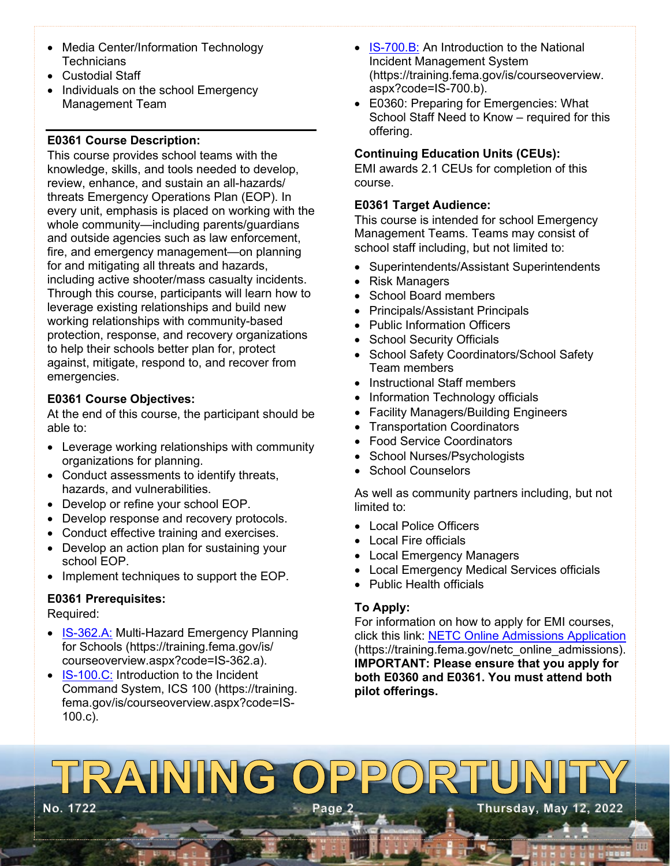- Media Center/Information Technology **Technicians**
- Custodial Staff
- Individuals on the school Emergency Management Team

#### **E0361 Course Description:**

This course provides school teams with the knowledge, skills, and tools needed to develop, review, enhance, and sustain an all-hazards/ threats Emergency Operations Plan (EOP). In every unit, emphasis is placed on working with the whole community—including parents/guardians and outside agencies such as law enforcement, fire, and emergency management—on planning for and mitigating all threats and hazards, including active shooter/mass casualty incidents. Through this course, participants will learn how to leverage existing relationships and build new working relationships with community-based protection, response, and recovery organizations to help their schools better plan for, protect against, mitigate, respond to, and recover from emergencies.

#### **E0361 Course Objectives:**

At the end of this course, the participant should be able to:

- Leverage working relationships with community organizations for planning.
- Conduct assessments to identify threats, hazards, and vulnerabilities.
- Develop or refine your school EOP.
- Develop response and recovery protocols.
- Conduct effective training and exercises.
- Develop an action plan for sustaining your school EOP.
- Implement techniques to support the EOP.

#### **E0361 Prerequisites:**

Required:

- [IS-362.A:](https://training.fema.gov/is/courseoverview.aspx?code=IS-362.a) Multi-Hazard Emergency Planning for Schools (https://training.fema.gov/is/ courseoverview.aspx?code=IS-362.a).
- [IS-100.C:](https://training.fema.gov/is/courseoverview.aspx?code=IS-100.c) Introduction to the Incident Command System, ICS 100 (https://training. fema.gov/is/courseoverview.aspx?code=IS-100.c).
- [IS-700.B:](https://training.fema.gov/is/courseoverview.aspx?code=IS-700.b) An Introduction to the National Incident Management System (https://training.fema.gov/is/courseoverview. aspx?code=IS-700.b).
- E0360: Preparing for Emergencies: What School Staff Need to Know – required for this offering.

#### **Continuing Education Units (CEUs):**

EMI awards 2.1 CEUs for completion of this course.

#### **E0361 Target Audience:**

This course is intended for school Emergency Management Teams. Teams may consist of school staff including, but not limited to:

- Superintendents/Assistant Superintendents
- Risk Managers
- School Board members
- Principals/Assistant Principals
- Public Information Officers
- School Security Officials
- School Safety Coordinators/School Safety Team members
- Instructional Staff members
- Information Technology officials
- Facility Managers/Building Engineers
- Transportation Coordinators
- Food Service Coordinators
- School Nurses/Psychologists
- School Counselors

As well as community partners including, but not limited to:

- Local Police Officers
- Local Fire officials
- Local Emergency Managers
- Local Emergency Medical Services officials
- Public Health officials

#### **To Apply:**

For information on how to apply for EMI courses, click this link: [NETC Online Admissions Application](https://training.fema.gov/netc_online_admissions/) (https://training.fema.gov/netc\_online\_admissions). **IMPORTANT: Please ensure that you apply for both E0360 and E0361. You must attend both pilot offerings.**

# TRAINING OPPOR